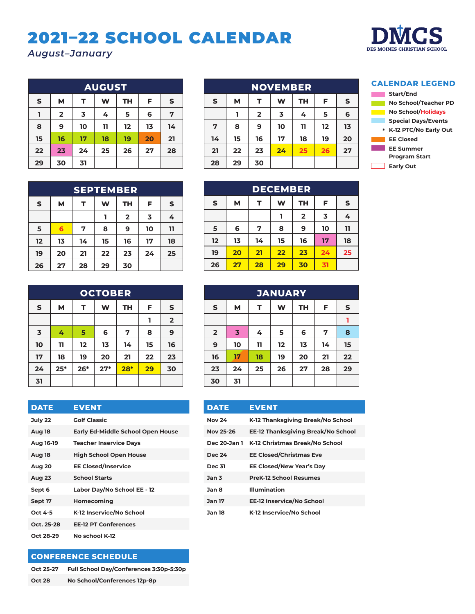## 2021–22 SCHOOL CALENDAR

*August–January*



| <b>AUGUST</b> |                |    |    |           |    |              |  |  |
|---------------|----------------|----|----|-----------|----|--------------|--|--|
| $\mathsf{s}$  | M              | т  | W  | <b>TH</b> | F  | $\mathsf{s}$ |  |  |
|               | $\overline{2}$ | 3  | 4  | 5         | 6  | 7            |  |  |
| 8             | 9              | 10 | 11 | 12        | 13 | 14           |  |  |
| 15            | 16             | 17 | 18 | 19        | 20 | 21           |  |  |
| 22            | 23             | 24 | 25 | 26        | 27 | 28           |  |  |
| 29            | 30             | 31 |    |           |    |              |  |  |

|              |    |                | <b>NOVEMBER</b>         |           |    |    |
|--------------|----|----------------|-------------------------|-----------|----|----|
| $\mathsf{s}$ | М  | т              | W                       | <b>TH</b> | F  | S  |
|              |    | $\overline{2}$ | $\overline{\mathbf{3}}$ | 4         | 5  | 6  |
| 7            | 8  | 9              | 10                      | 11        | 12 | 13 |
| 14           | 15 | 16             | 17                      | 18        | 19 | 20 |
| 21           | 22 | 23             | 24                      | 25        | 26 | 27 |
| 28           | 29 | 30             |                         |           |    |    |

#### **CALENDAR LEGEND**



**SEPTEMBER S M T W TH F S 1 2 3 4 5 6 7 8 9 10 11 12 13 14 15 16 17 18 19 20 21 22 23 24 25 26 27 28 29 30**

| <b>DECEMBER</b> |    |    |    |                         |    |              |  |  |
|-----------------|----|----|----|-------------------------|----|--------------|--|--|
| $\mathsf S$     | M  | т  | W  | <b>TH</b>               | F  | $\mathsf{s}$ |  |  |
|                 |    |    |    | $\overline{\mathbf{2}}$ | 3  | 4            |  |  |
| 5               | 6  | 7  | 8  | 9                       | 10 | 11           |  |  |
| 12              | 13 | 14 | 15 | 16                      | 17 | 18           |  |  |
| 19              | 20 | 21 | 22 | 2 <sub>3</sub>          | 24 | 25           |  |  |
| 26              | 27 | 28 | 29 | 30                      | 31 |              |  |  |

| <b>OCTOBER</b>          |       |       |       |           |    |                         |  |  |
|-------------------------|-------|-------|-------|-----------|----|-------------------------|--|--|
| ${\sf s}$               | М     | т     | W     | <b>TH</b> | F  | S                       |  |  |
|                         |       |       |       |           | ı  | $\overline{\mathbf{2}}$ |  |  |
| $\overline{\mathbf{3}}$ | 4     | 5     | 6     | 7         | 8  | 9                       |  |  |
| 10                      | 11    | 12    | 13    | 14        | 15 | 16                      |  |  |
| 17                      | 18    | 19    | 20    | 21        | 22 | 23                      |  |  |
| 24                      | $25*$ | $26*$ | $27*$ | $28*$     | 29 | 30                      |  |  |
| 31                      |       |       |       |           |    |                         |  |  |

| <b>DATE</b>   | <b>EVENT</b>                             |
|---------------|------------------------------------------|
| July 22       | <b>Golf Classic</b>                      |
| Aug 18        | <b>Early Ed-Middle School Open House</b> |
| Aug 16-19     | <b>Teacher Inservice Days</b>            |
| Aug 18        | <b>High School Open House</b>            |
| Aug 20        | <b>EE Closed/Inservice</b>               |
| <b>Aug 23</b> | <b>School Starts</b>                     |
| Sept 6        | Labor Day/No School EE - 12              |
| Sept 17       | Homecoming                               |
| Oct 4-5       | K-12 Inservice/No School                 |
| Oct. 25-28    | <b>EE-12 PT Conferences</b>              |
| Oct 28-29     | No school K-12                           |

### **CONFERENCE SCHEDULE**

| Oct 25-27     | Full School Day/Conferences 3:30p-5:30p |
|---------------|-----------------------------------------|
| <b>Oct 28</b> | No School/Conferences 12p-8p            |

| <b>JANUARY</b>          |                                               |    |    |    |    |    |  |  |  |
|-------------------------|-----------------------------------------------|----|----|----|----|----|--|--|--|
| $\sf s$                 | $\mathsf{s}$<br>M<br><b>TH</b><br>W<br>F<br>т |    |    |    |    |    |  |  |  |
|                         |                                               |    |    |    |    |    |  |  |  |
| $\overline{\mathbf{2}}$ | $\overline{\mathbf{3}}$                       | 4  | 5  | 6  | 7  | 8  |  |  |  |
| $\boldsymbol{9}$        | 10                                            | 11 | 12 | 13 | 14 | 15 |  |  |  |
| 16                      | 17                                            | 18 | 19 | 20 | 21 | 22 |  |  |  |
| 23                      | 24                                            | 25 | 26 | 27 | 28 | 29 |  |  |  |
| 30                      | 31                                            |    |    |    |    |    |  |  |  |

| <b>DATE</b>      | <b>EVENT</b>                                |
|------------------|---------------------------------------------|
| <b>Nov 24</b>    | K-12 Thanksgiving Break/No School           |
| <b>Nov 25-26</b> | EE-12 Thanksgiving Break/No School          |
|                  | Dec 20-Jan 1 K-12 Christmas Break/No School |
| <b>Dec 24</b>    | <b>EE Closed/Christmas Eve</b>              |
| <b>Dec 31</b>    | <b>EE Closed/New Year's Day</b>             |
| Jan <sub>3</sub> | <b>PreK-12 School Resumes</b>               |
| Jan 8            | <b>Illumination</b>                         |
| <b>Jan 17</b>    | <b>EE-12 Inservice/No School</b>            |
| <b>Jan 18</b>    | K-12 Inservice/No School                    |